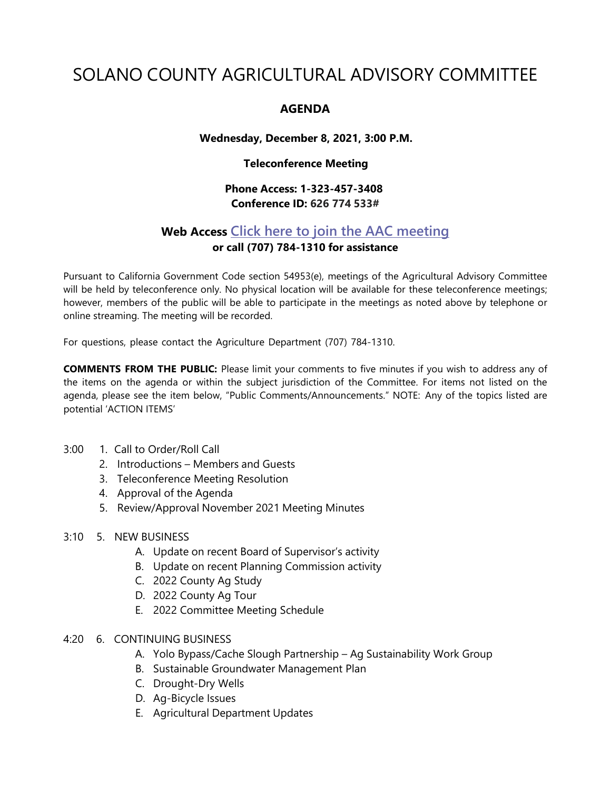# SOLANO COUNTY AGRICULTURAL ADVISORY COMMITTEE

## **AGENDA**

#### **Wednesday, December 8, 2021, 3:00 P.M.**

### **Teleconference Meeting**

## **Phone Access: 1-323-457-3408 Conference ID: 626 774 533#**

## **Web Access Click here to join the AAC [meeting](https://teams.microsoft.com/l/meetup-join/19%3ameeting_MDI1ZDEyYmItY2I4Zi00MWMxLWIxM2ItNzRiYmRmMWY5ZGNk%40thread.v2/0?context=%7b%22Tid%22%3a%225e7f20ac-e5f1-4f83-8c3b-ce44b8486421%22%2c%22Oid%22%3a%229b7e0b10-9feb-4114-92ef-db737a66fd13%22%7d) or call (707) 784-1310 for assistance**

Pursuant to California Government Code section 54953(e), meetings of the Agricultural Advisory Committee will be held by teleconference only. No physical location will be available for these teleconference meetings; however, members of the public will be able to participate in the meetings as noted above by telephone or online streaming. The meeting will be recorded.

For questions, please contact the Agriculture Department (707) 784-1310.

**COMMENTS FROM THE PUBLIC:** Please limit your comments to five minutes if you wish to address any of the items on the agenda or within the subject jurisdiction of the Committee. For items not listed on the agenda, please see the item below, "Public Comments/Announcements." NOTE: Any of the topics listed are potential 'ACTION ITEMS'

- 3:00 1. Call to Order/Roll Call
	- 2. Introductions Members and Guests
	- 3. Teleconference Meeting Resolution
	- 4. Approval of the Agenda
	- 5. Review/Approval November 2021 Meeting Minutes
- 3:10 5. NEW BUSINESS
	- A. Update on recent Board of Supervisor's activity
	- B. Update on recent Planning Commission activity
	- C. 2022 County Ag Study
	- D. 2022 County Ag Tour
	- E. 2022 Committee Meeting Schedule
- 4:20 6. CONTINUING BUSINESS
	- A. Yolo Bypass/Cache Slough Partnership Ag Sustainability Work Group
	- B. Sustainable Groundwater Management Plan
	- C. Drought-Dry Wells
	- D. Ag-Bicycle Issues
	- E. Agricultural Department Updates